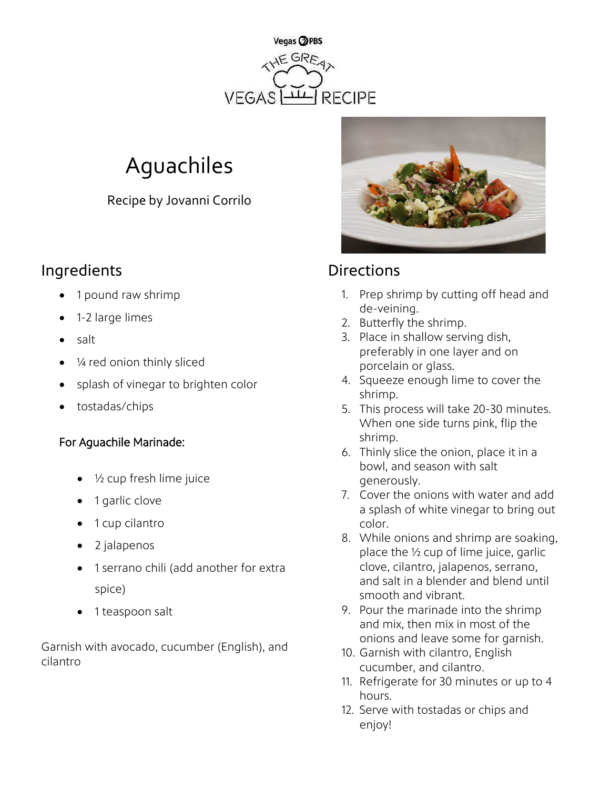

# Aguachiles

Recipe by Jovanni Corrilo

## Ingredients **Directions**

- 1 pound raw shrimp
- 1-2 large limes
- salt
- ¼ red onion thinly sliced
- splash of vinegar to brighten color
- tostadas/chips

### For Aguachile Marinade:

- $\frac{1}{2}$  cup fresh lime juice
- 1 garlic clove
- 1 cup cilantro
- 2 jalapenos
- 1 serrano chili (add another for extra spice)
- 1 teaspoon salt

Garnish with avocado, cucumber (English), and cilantro



- 1. Prep shrimp by cutting off head and de-veining.
- 2. Butterfly the shrimp.
- 3. Place in shallow serving dish, preferably in one layer and on porcelain or glass.
- 4. Squeeze enough lime to cover the shrimp.
- 5. This process will take 20-30 minutes. When one side turns pink, flip the shrimp.
- 6. Thinly slice the onion, place it in a bowl, and season with salt generously.
- 7. Cover the onions with water and add a splash of white vinegar to bring out color.
- 8. While onions and shrimp are soaking, place the ½ cup of lime juice, garlic clove, cilantro, jalapenos, serrano, and salt in a blender and blend until smooth and vibrant.
- 9. Pour the marinade into the shrimp and mix, then mix in most of the onions and leave some for garnish.
- 10. Garnish with cilantro, English cucumber, and cilantro.
- 11. Refrigerate for 30 minutes or up to 4 hours.
- 12. Serve with tostadas or chips and enjoy!